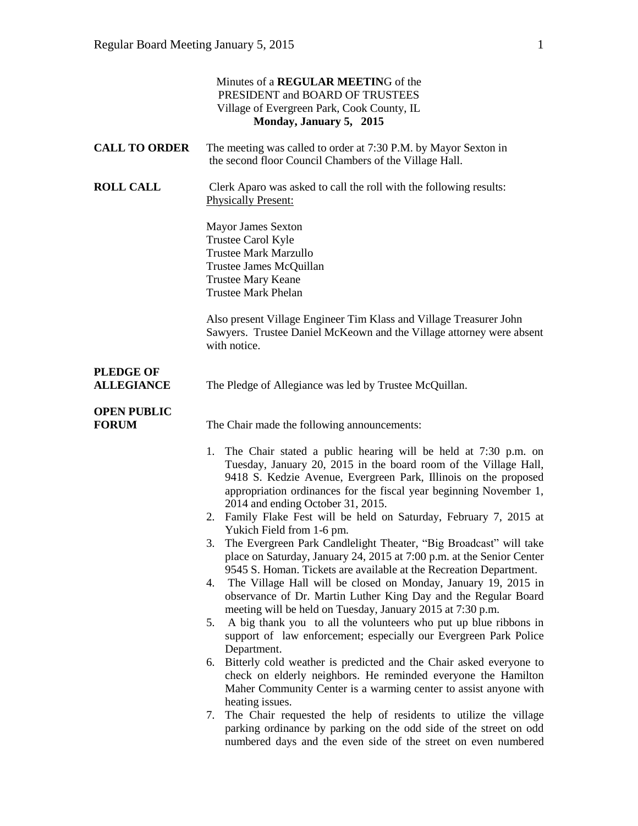|                                       | Minutes of a REGULAR MEETING of the<br>PRESIDENT and BOARD OF TRUSTEES<br>Village of Evergreen Park, Cook County, IL<br>Monday, January 5, 2015                                                                                                                                                                                                                                                                                                                                                                                                                                                                                                                                                                                                                                                                                                                                                                                                                                                                                                                                                                                                                                                                                                        |
|---------------------------------------|--------------------------------------------------------------------------------------------------------------------------------------------------------------------------------------------------------------------------------------------------------------------------------------------------------------------------------------------------------------------------------------------------------------------------------------------------------------------------------------------------------------------------------------------------------------------------------------------------------------------------------------------------------------------------------------------------------------------------------------------------------------------------------------------------------------------------------------------------------------------------------------------------------------------------------------------------------------------------------------------------------------------------------------------------------------------------------------------------------------------------------------------------------------------------------------------------------------------------------------------------------|
| <b>CALL TO ORDER</b>                  | The meeting was called to order at 7:30 P.M. by Mayor Sexton in<br>the second floor Council Chambers of the Village Hall.                                                                                                                                                                                                                                                                                                                                                                                                                                                                                                                                                                                                                                                                                                                                                                                                                                                                                                                                                                                                                                                                                                                              |
| <b>ROLL CALL</b>                      | Clerk Aparo was asked to call the roll with the following results:<br><b>Physically Present:</b>                                                                                                                                                                                                                                                                                                                                                                                                                                                                                                                                                                                                                                                                                                                                                                                                                                                                                                                                                                                                                                                                                                                                                       |
|                                       | <b>Mayor James Sexton</b><br>Trustee Carol Kyle<br><b>Trustee Mark Marzullo</b><br>Trustee James McQuillan<br><b>Trustee Mary Keane</b><br><b>Trustee Mark Phelan</b>                                                                                                                                                                                                                                                                                                                                                                                                                                                                                                                                                                                                                                                                                                                                                                                                                                                                                                                                                                                                                                                                                  |
|                                       | Also present Village Engineer Tim Klass and Village Treasurer John<br>Sawyers. Trustee Daniel McKeown and the Village attorney were absent<br>with notice.                                                                                                                                                                                                                                                                                                                                                                                                                                                                                                                                                                                                                                                                                                                                                                                                                                                                                                                                                                                                                                                                                             |
| <b>PLEDGE OF</b><br><b>ALLEGIANCE</b> | The Pledge of Allegiance was led by Trustee McQuillan.                                                                                                                                                                                                                                                                                                                                                                                                                                                                                                                                                                                                                                                                                                                                                                                                                                                                                                                                                                                                                                                                                                                                                                                                 |
| <b>OPEN PUBLIC</b><br><b>FORUM</b>    | The Chair made the following announcements:                                                                                                                                                                                                                                                                                                                                                                                                                                                                                                                                                                                                                                                                                                                                                                                                                                                                                                                                                                                                                                                                                                                                                                                                            |
|                                       | The Chair stated a public hearing will be held at 7:30 p.m. on<br>1.<br>Tuesday, January 20, 2015 in the board room of the Village Hall,<br>9418 S. Kedzie Avenue, Evergreen Park, Illinois on the proposed<br>appropriation ordinances for the fiscal year beginning November 1,<br>2014 and ending October 31, 2015.<br>2. Family Flake Fest will be held on Saturday, February 7, 2015 at<br>Yukich Field from 1-6 pm.<br>The Evergreen Park Candlelight Theater, "Big Broadcast" will take<br>place on Saturday, January 24, 2015 at 7:00 p.m. at the Senior Center<br>9545 S. Homan. Tickets are available at the Recreation Department.<br>The Village Hall will be closed on Monday, January 19, 2015 in<br>4.<br>observance of Dr. Martin Luther King Day and the Regular Board<br>meeting will be held on Tuesday, January 2015 at 7:30 p.m.<br>A big thank you to all the volunteers who put up blue ribbons in<br>5.<br>support of law enforcement; especially our Evergreen Park Police<br>Department.<br>Bitterly cold weather is predicted and the Chair asked everyone to<br>6.<br>check on elderly neighbors. He reminded everyone the Hamilton<br>Maher Community Center is a warming center to assist anyone with<br>heating issues. |
|                                       | The Chair requested the help of residents to utilize the village<br>7.<br>parking ordinance by parking on the odd side of the street on odd<br>numbered days and the even side of the street on even numbered                                                                                                                                                                                                                                                                                                                                                                                                                                                                                                                                                                                                                                                                                                                                                                                                                                                                                                                                                                                                                                          |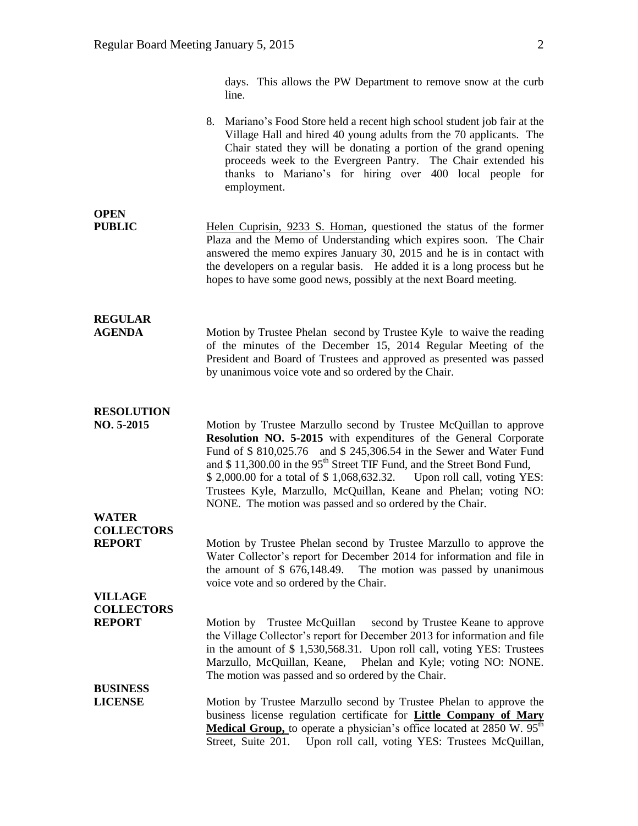days. This allows the PW Department to remove snow at the curb line.

|                                                      | 8. Mariano's Food Store held a recent high school student job fair at the<br>Village Hall and hired 40 young adults from the 70 applicants. The<br>Chair stated they will be donating a portion of the grand opening<br>proceeds week to the Evergreen Pantry. The Chair extended his<br>thanks to Mariano's for hiring over 400 local people for<br>employment.                                                                                                                                                    |
|------------------------------------------------------|---------------------------------------------------------------------------------------------------------------------------------------------------------------------------------------------------------------------------------------------------------------------------------------------------------------------------------------------------------------------------------------------------------------------------------------------------------------------------------------------------------------------|
| <b>OPEN</b><br><b>PUBLIC</b>                         | Helen Cuprisin, 9233 S. Homan, questioned the status of the former<br>Plaza and the Memo of Understanding which expires soon. The Chair<br>answered the memo expires January 30, 2015 and he is in contact with<br>the developers on a regular basis. He added it is a long process but he<br>hopes to have some good news, possibly at the next Board meeting.                                                                                                                                                     |
| <b>REGULAR</b><br><b>AGENDA</b>                      | Motion by Trustee Phelan second by Trustee Kyle to waive the reading<br>of the minutes of the December 15, 2014 Regular Meeting of the<br>President and Board of Trustees and approved as presented was passed<br>by unanimous voice vote and so ordered by the Chair.                                                                                                                                                                                                                                              |
| <b>RESOLUTION</b><br>NO. 5-2015                      | Motion by Trustee Marzullo second by Trustee McQuillan to approve<br><b>Resolution NO. 5-2015</b> with expenditures of the General Corporate<br>Fund of \$810,025.76 and \$245,306.54 in the Sewer and Water Fund<br>and \$11,300.00 in the 95 <sup>th</sup> Street TIF Fund, and the Street Bond Fund,<br>\$2,000.00 for a total of \$1,068,632.32.<br>Upon roll call, voting YES:<br>Trustees Kyle, Marzullo, McQuillan, Keane and Phelan; voting NO:<br>NONE. The motion was passed and so ordered by the Chair. |
| <b>WATER</b><br><b>COLLECTORS</b><br><b>REPORT</b>   | Motion by Trustee Phelan second by Trustee Marzullo to approve the<br>Water Collector's report for December 2014 for information and file in<br>the amount of $$676,148.49$ . The motion was passed by unanimous<br>voice vote and so ordered by the Chair.                                                                                                                                                                                                                                                         |
| <b>VILLAGE</b><br><b>COLLECTORS</b><br><b>REPORT</b> | Trustee McQuillan<br>second by Trustee Keane to approve<br>Motion by<br>the Village Collector's report for December 2013 for information and file<br>in the amount of \$1,530,568.31. Upon roll call, voting YES: Trustees<br>Marzullo, McQuillan, Keane,<br>Phelan and Kyle; voting NO: NONE.<br>The motion was passed and so ordered by the Chair.                                                                                                                                                                |
| <b>BUSINESS</b><br><b>LICENSE</b>                    | Motion by Trustee Marzullo second by Trustee Phelan to approve the<br>business license regulation certificate for Little Company of Mary<br>Medical Group, to operate a physician's office located at 2850 W. 95 <sup>th</sup><br>Street, Suite 201.<br>Upon roll call, voting YES: Trustees McQuillan,                                                                                                                                                                                                             |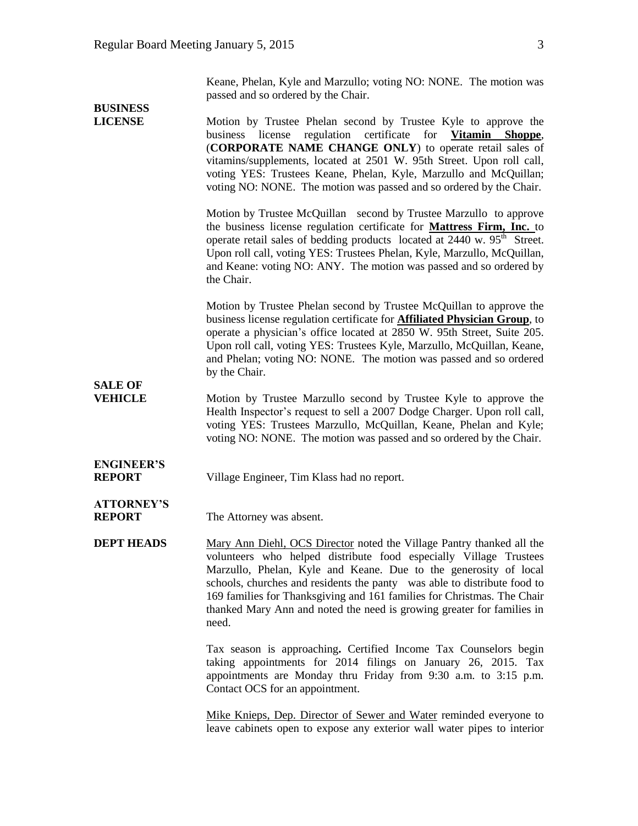Keane, Phelan, Kyle and Marzullo; voting NO: NONE. The motion was passed and so ordered by the Chair.

| <b>BUSINESS</b>                    |                                                                                                                                                                                                                                                                                                                                                                                                                                                          |
|------------------------------------|----------------------------------------------------------------------------------------------------------------------------------------------------------------------------------------------------------------------------------------------------------------------------------------------------------------------------------------------------------------------------------------------------------------------------------------------------------|
| <b>LICENSE</b>                     | Motion by Trustee Phelan second by Trustee Kyle to approve the<br>business license regulation certificate<br>for <b>Vitamin</b> Shoppe,<br>(CORPORATE NAME CHANGE ONLY) to operate retail sales of<br>vitamins/supplements, located at 2501 W. 95th Street. Upon roll call,<br>voting YES: Trustees Keane, Phelan, Kyle, Marzullo and McQuillan;<br>voting NO: NONE. The motion was passed and so ordered by the Chair.                                  |
|                                    | Motion by Trustee McQuillan second by Trustee Marzullo to approve<br>the business license regulation certificate for Mattress Firm, Inc. to<br>operate retail sales of bedding products located at 2440 w. 95 <sup>th</sup> Street.<br>Upon roll call, voting YES: Trustees Phelan, Kyle, Marzullo, McQuillan,<br>and Keane: voting NO: ANY. The motion was passed and so ordered by<br>the Chair.                                                       |
| <b>SALE OF</b>                     | Motion by Trustee Phelan second by Trustee McQuillan to approve the<br>business license regulation certificate for <b>Affiliated Physician Group</b> , to<br>operate a physician's office located at 2850 W. 95th Street, Suite 205.<br>Upon roll call, voting YES: Trustees Kyle, Marzullo, McQuillan, Keane,<br>and Phelan; voting NO: NONE. The motion was passed and so ordered<br>by the Chair.                                                     |
| <b>VEHICLE</b>                     | Motion by Trustee Marzullo second by Trustee Kyle to approve the<br>Health Inspector's request to sell a 2007 Dodge Charger. Upon roll call,<br>voting YES: Trustees Marzullo, McQuillan, Keane, Phelan and Kyle;<br>voting NO: NONE. The motion was passed and so ordered by the Chair.                                                                                                                                                                 |
| <b>ENGINEER'S</b><br><b>REPORT</b> | Village Engineer, Tim Klass had no report.                                                                                                                                                                                                                                                                                                                                                                                                               |
| <b>ATTORNEY'S</b><br><b>REPORT</b> | The Attorney was absent.                                                                                                                                                                                                                                                                                                                                                                                                                                 |
| <b>DEPT HEADS</b>                  | Mary Ann Diehl, OCS Director noted the Village Pantry thanked all the<br>volunteers who helped distribute food especially Village Trustees<br>Marzullo, Phelan, Kyle and Keane. Due to the generosity of local<br>schools, churches and residents the panty was able to distribute food to<br>169 families for Thanksgiving and 161 families for Christmas. The Chair<br>thanked Mary Ann and noted the need is growing greater for families in<br>need. |
|                                    | Tax season is approaching. Certified Income Tax Counselors begin<br>taking appointments for 2014 filings on January 26, 2015. Tax<br>appointments are Monday thru Friday from 9:30 a.m. to 3:15 p.m.<br>Contact OCS for an appointment.                                                                                                                                                                                                                  |
|                                    | Mike Knieps, Dep. Director of Sewer and Water reminded everyone to<br>leave cabinets open to expose any exterior wall water pipes to interior                                                                                                                                                                                                                                                                                                            |